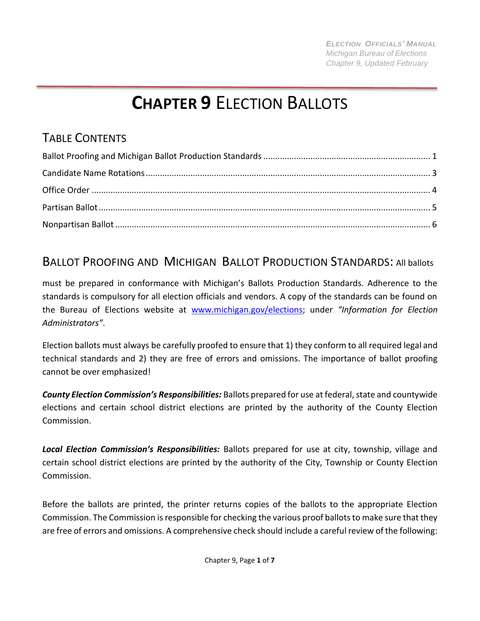# **CHAPTER 9** ELECTION BALLOTS

## <span id="page-0-0"></span>TABLE CONTENTS

# BALLOT PROOFING AND MICHIGAN BALLOT PRODUCTION STANDARDS: All ballots

must be prepared in conformance with Michigan's Ballots Production Standards. Adherence to the standards is compulsory for all election officials and vendors. A copy of the standards can be found on the Bureau of Elections website at [www.michigan.gov/elections;](http://www.michigan.gov/elections) under *"Information for Election Administrators"*.

Election ballots must always be carefully proofed to ensure that 1) they conform to all required legal and technical standards and 2) they are free of errors and omissions. The importance of ballot proofing cannot be over emphasized!

*County Election Commission's Responsibilities:* Ballots prepared for use at federal, state and countywide elections and certain school district elections are printed by the authority of the County Election Commission.

*Local Election Commission's Responsibilities:* Ballots prepared for use at city, township, village and certain school district elections are printed by the authority of the City, Township or County Election Commission.

Before the ballots are printed, the printer returns copies of the ballots to the appropriate Election Commission. The Commission is responsible for checking the various proof ballots to make sure that they are free of errors and omissions. A comprehensive check should include a careful review of the following: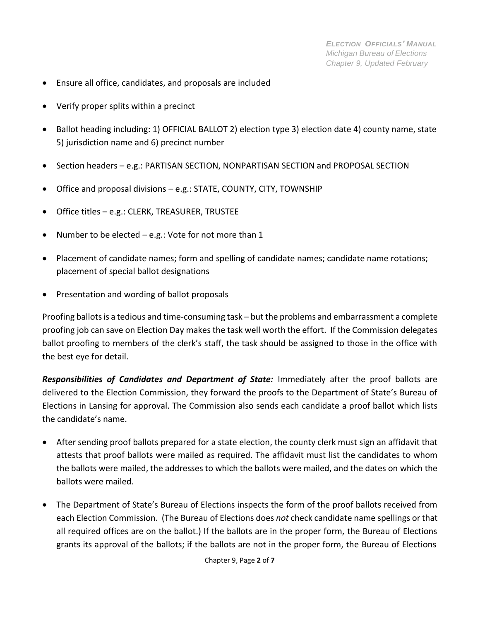- Ensure all office, candidates, and proposals are included
- Verify proper splits within a precinct
- Ballot heading including: 1) OFFICIAL BALLOT 2) election type 3) election date 4) county name, state 5) jurisdiction name and 6) precinct number
- Section headers e.g.: PARTISAN SECTION, NONPARTISAN SECTION and PROPOSAL SECTION
- Office and proposal divisions e.g.: STATE, COUNTY, CITY, TOWNSHIP
- Office titles e.g.: CLERK, TREASURER, TRUSTEE
- Number to be elected e.g.: Vote for not more than 1
- Placement of candidate names; form and spelling of candidate names; candidate name rotations; placement of special ballot designations
- Presentation and wording of ballot proposals

Proofing ballotsis a tedious and time-consuming task – but the problems and embarrassment a complete proofing job can save on Election Day makes the task well worth the effort. If the Commission delegates ballot proofing to members of the clerk's staff, the task should be assigned to those in the office with the best eye for detail.

*Responsibilities of Candidates and Department of State:* Immediately after the proof ballots are delivered to the Election Commission, they forward the proofs to the Department of State's Bureau of Elections in Lansing for approval. The Commission also sends each candidate a proof ballot which lists the candidate's name.

- After sending proof ballots prepared for a state election, the county clerk must sign an affidavit that attests that proof ballots were mailed as required. The affidavit must list the candidates to whom the ballots were mailed, the addresses to which the ballots were mailed, and the dates on which the ballots were mailed.
- The Department of State's Bureau of Elections inspects the form of the proof ballots received from each Election Commission. (The Bureau of Elections does *not* check candidate name spellings or that all required offices are on the ballot.) If the ballots are in the proper form, the Bureau of Elections grants its approval of the ballots; if the ballots are not in the proper form, the Bureau of Elections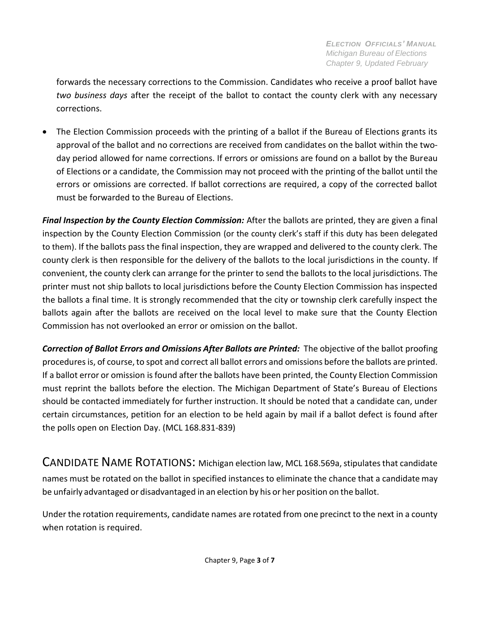forwards the necessary corrections to the Commission. Candidates who receive a proof ballot have *two business days* after the receipt of the ballot to contact the county clerk with any necessary corrections.

• The Election Commission proceeds with the printing of a ballot if the Bureau of Elections grants its approval of the ballot and no corrections are received from candidates on the ballot within the twoday period allowed for name corrections. If errors or omissions are found on a ballot by the Bureau of Elections or a candidate, the Commission may not proceed with the printing of the ballot until the errors or omissions are corrected. If ballot corrections are required, a copy of the corrected ballot must be forwarded to the Bureau of Elections.

*Final Inspection by the County Election Commission:* After the ballots are printed, they are given a final inspection by the County Election Commission (or the county clerk's staff if this duty has been delegated to them). If the ballots pass the final inspection, they are wrapped and delivered to the county clerk. The county clerk is then responsible for the delivery of the ballots to the local jurisdictions in the county. If convenient, the county clerk can arrange for the printer to send the ballots to the local jurisdictions. The printer must not ship ballots to local jurisdictions before the County Election Commission has inspected the ballots a final time. It is strongly recommended that the city or township clerk carefully inspect the ballots again after the ballots are received on the local level to make sure that the County Election Commission has not overlooked an error or omission on the ballot.

*Correction of Ballot Errors and Omissions After Ballots are Printed:* The objective of the ballot proofing procedures is, of course, to spot and correct all ballot errors and omissions before the ballots are printed. If a ballot error or omission is found after the ballots have been printed, the County Election Commission must reprint the ballots before the election. The Michigan Department of State's Bureau of Elections should be contacted immediately for further instruction. It should be noted that a candidate can, under certain circumstances, petition for an election to be held again by mail if a ballot defect is found after the polls open on Election Day. (MCL 168.831-839)

<span id="page-2-0"></span>CANDIDATE NAME ROTATIONS: Michigan election law, MCL 168.569a, stipulates that candidate names must be rotated on the ballot in specified instances to eliminate the chance that a candidate may be unfairly advantaged or disadvantaged in an election by his or her position on the ballot.

Under the rotation requirements, candidate names are rotated from one precinct to the next in a county when rotation is required.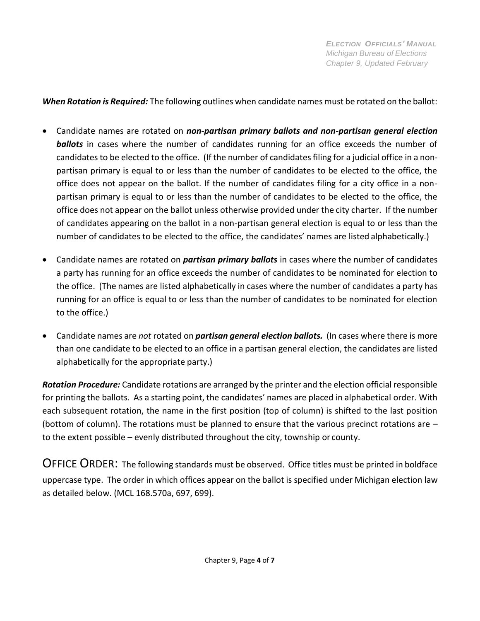*ELECTION OFFICIALS' MANUAL Michigan Bureau of Elections Chapter 9, Updated February*

*When Rotation is Required:* The following outlines when candidate names must be rotated on the ballot:

- Candidate names are rotated on *non-partisan primary ballots and non-partisan general election*  **ballots** in cases where the number of candidates running for an office exceeds the number of candidates to be elected to the office. (If the number of candidates filing for a judicial office in a nonpartisan primary is equal to or less than the number of candidates to be elected to the office, the office does not appear on the ballot. If the number of candidates filing for a city office in a nonpartisan primary is equal to or less than the number of candidates to be elected to the office, the office does not appear on the ballot unless otherwise provided under the city charter. If the number of candidates appearing on the ballot in a non-partisan general election is equal to or less than the number of candidates to be elected to the office, the candidates' names are listed alphabetically.)
- Candidate names are rotated on *partisan primary ballots* in cases where the number of candidates a party has running for an office exceeds the number of candidates to be nominated for election to the office. (The names are listed alphabetically in cases where the number of candidates a party has running for an office is equal to or less than the number of candidates to be nominated for election to the office.)
- Candidate names are *not* rotated on *partisan general election ballots.* (In cases where there is more than one candidate to be elected to an office in a partisan general election, the candidates are listed alphabetically for the appropriate party.)

*Rotation Procedure:* Candidate rotations are arranged by the printer and the election official responsible for printing the ballots. As a starting point, the candidates' names are placed in alphabetical order. With each subsequent rotation, the name in the first position (top of column) is shifted to the last position (bottom of column). The rotations must be planned to ensure that the various precinct rotations are – to the extent possible – evenly distributed throughout the city, township or county.

<span id="page-3-0"></span>OFFICE ORDER: The following standards must be observed. Office titles must be printed in boldface uppercase type. The order in which offices appear on the ballot is specified under Michigan election law as detailed below. (MCL 168.570a, 697, 699).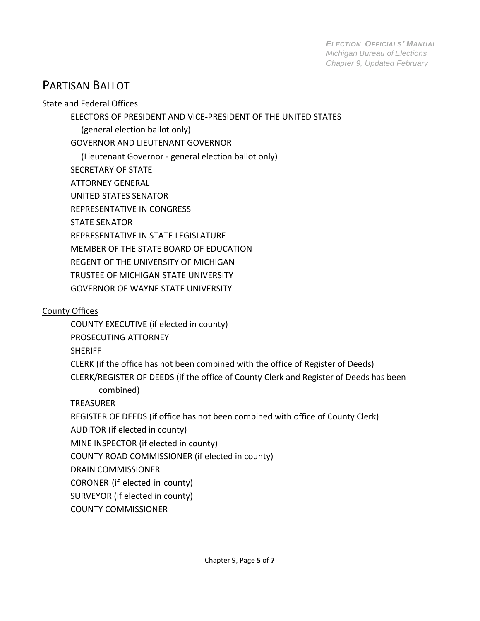## <span id="page-4-0"></span>PARTISAN BALLOT

#### State and Federal Offices

ELECTORS OF PRESIDENT AND VICE-PRESIDENT OF THE UNITED STATES (general election ballot only) GOVERNOR AND LIEUTENANT GOVERNOR (Lieutenant Governor - general election ballot only) SECRETARY OF STATE ATTORNEY GENERAL UNITED STATES SENATOR REPRESENTATIVE IN CONGRESS STATE SENATOR REPRESENTATIVE IN STATE LEGISLATURE MEMBER OF THE STATE BOARD OF EDUCATION REGENT OF THE UNIVERSITY OF MICHIGAN TRUSTEE OF MICHIGAN STATE UNIVERSITY GOVERNOR OF WAYNE STATE UNIVERSITY

#### County Offices

COUNTY EXECUTIVE (if elected in county) PROSECUTING ATTORNEY **SHERIFF** CLERK (if the office has not been combined with the office of Register of Deeds) CLERK/REGISTER OF DEEDS (if the office of County Clerk and Register of Deeds has been combined) **TREASURER** REGISTER OF DEEDS (if office has not been combined with office of County Clerk) AUDITOR (if elected in county) MINE INSPECTOR (if elected in county) COUNTY ROAD COMMISSIONER (if elected in county) DRAIN COMMISSIONER CORONER (if elected in county) SURVEYOR (if elected in county) COUNTY COMMISSIONER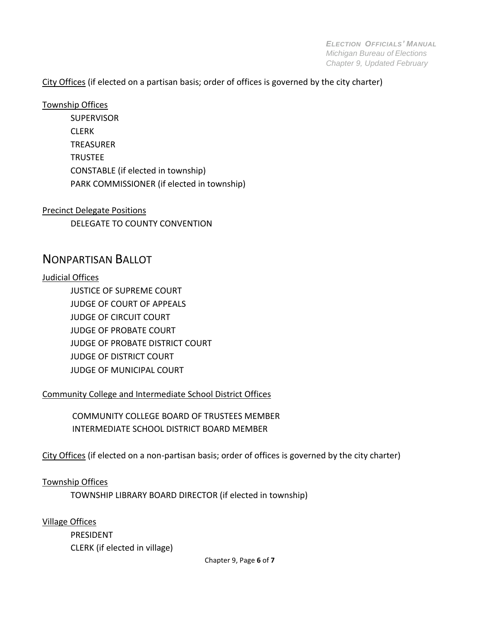City Offices (if elected on a partisan basis; order of offices is governed by the city charter)

#### Township Offices

**SUPERVISOR** CLERK TREASURER **TRUSTEE** CONSTABLE (if elected in township) PARK COMMISSIONER (if elected in township)

Precinct Delegate Positions DELEGATE TO COUNTY CONVENTION

### <span id="page-5-0"></span>NONPARTISAN BALLOT

#### Judicial Offices

JUSTICE OF SUPREME COURT JUDGE OF COURT OF APPEALS JUDGE OF CIRCUIT COURT JUDGE OF PROBATE COURT JUDGE OF PROBATE DISTRICT COURT JUDGE OF DISTRICT COURT JUDGE OF MUNICIPAL COURT

#### Community College and Intermediate School District Offices

COMMUNITY COLLEGE BOARD OF TRUSTEES MEMBER INTERMEDIATE SCHOOL DISTRICT BOARD MEMBER

City Offices (if elected on a non-partisan basis; order of offices is governed by the city charter)

#### Township Offices

TOWNSHIP LIBRARY BOARD DIRECTOR (if elected in township)

Village Offices

PRESIDENT CLERK (if elected in village)